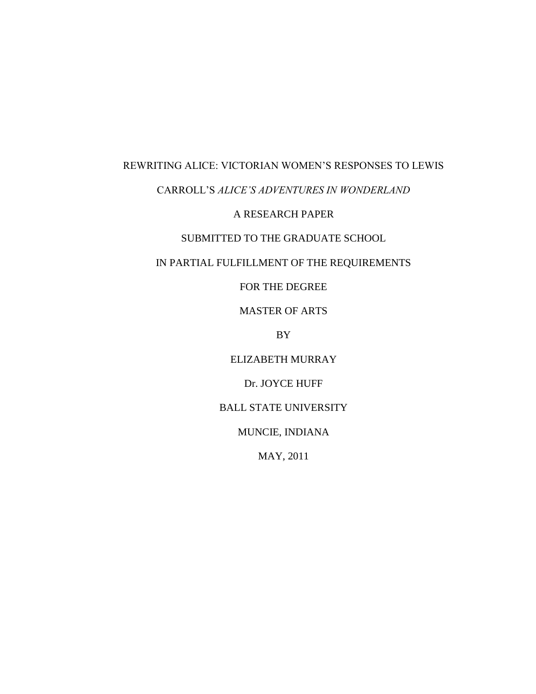# REWRITING ALICE: VICTORIAN WOMEN'S RESPONSES TO LEWIS

## CARROLL'S *ALICE'S ADVENTURES IN WONDERLAND*

### A RESEARCH PAPER

## SUBMITTED TO THE GRADUATE SCHOOL

## IN PARTIAL FULFILLMENT OF THE REQUIREMENTS

FOR THE DEGREE

MASTER OF ARTS

BY

ELIZABETH MURRAY

Dr. JOYCE HUFF

BALL STATE UNIVERSITY

MUNCIE, INDIANA

MAY, 2011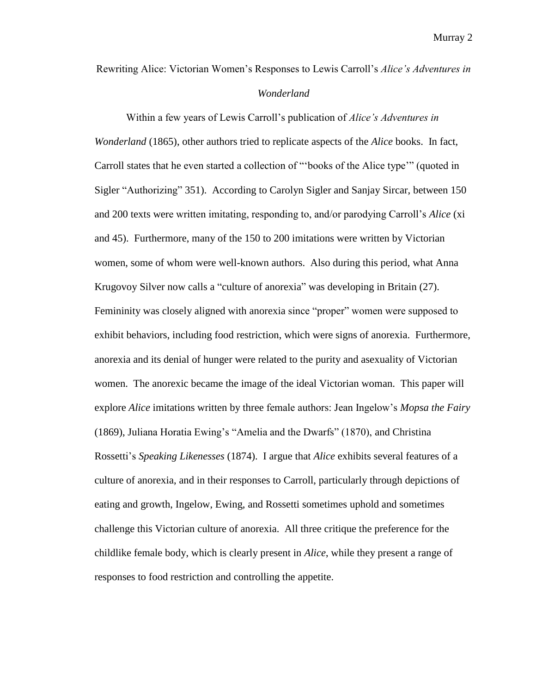Rewriting Alice: Victorian Women's Responses to Lewis Carroll's *Alice's Adventures in* 

#### *Wonderland*

Within a few years of Lewis Carroll's publication of *Alice's Adventures in Wonderland* (1865), other authors tried to replicate aspects of the *Alice* books. In fact, Carroll states that he even started a collection of "books of the Alice type" (quoted in Sigler "Authorizing" 351). According to Carolyn Sigler and Sanjay Sircar, between 150 and 200 texts were written imitating, responding to, and/or parodying Carroll's *Alice* (xi and 45). Furthermore, many of the 150 to 200 imitations were written by Victorian women, some of whom were well-known authors. Also during this period, what Anna Krugovoy Silver now calls a "culture of anorexia" was developing in Britain (27). Femininity was closely aligned with anorexia since "proper" women were supposed to exhibit behaviors, including food restriction, which were signs of anorexia. Furthermore, anorexia and its denial of hunger were related to the purity and asexuality of Victorian women. The anorexic became the image of the ideal Victorian woman. This paper will explore *Alice* imitations written by three female authors: Jean Ingelow's *Mopsa the Fairy* (1869), Juliana Horatia Ewing's "Amelia and the Dwarfs" (1870), and Christina Rossetti's *Speaking Likenesses* (1874). I argue that *Alice* exhibits several features of a culture of anorexia, and in their responses to Carroll, particularly through depictions of eating and growth, Ingelow, Ewing, and Rossetti sometimes uphold and sometimes challenge this Victorian culture of anorexia. All three critique the preference for the childlike female body, which is clearly present in *Alice*, while they present a range of responses to food restriction and controlling the appetite.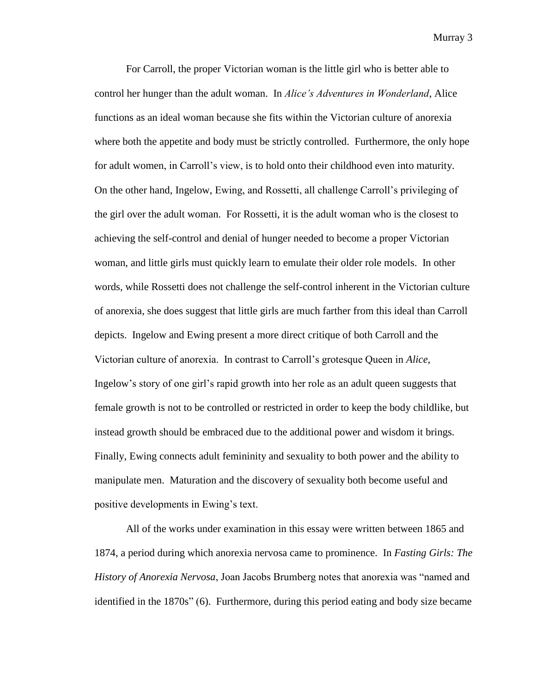For Carroll, the proper Victorian woman is the little girl who is better able to control her hunger than the adult woman. In *Alice's Adventures in Wonderland*, Alice functions as an ideal woman because she fits within the Victorian culture of anorexia where both the appetite and body must be strictly controlled. Furthermore, the only hope for adult women, in Carroll's view, is to hold onto their childhood even into maturity. On the other hand, Ingelow, Ewing, and Rossetti, all challenge Carroll's privileging of the girl over the adult woman. For Rossetti, it is the adult woman who is the closest to achieving the self-control and denial of hunger needed to become a proper Victorian woman, and little girls must quickly learn to emulate their older role models. In other words, while Rossetti does not challenge the self-control inherent in the Victorian culture of anorexia, she does suggest that little girls are much farther from this ideal than Carroll depicts. Ingelow and Ewing present a more direct critique of both Carroll and the Victorian culture of anorexia. In contrast to Carroll's grotesque Queen in *Alice*, Ingelow's story of one girl's rapid growth into her role as an adult queen suggests that female growth is not to be controlled or restricted in order to keep the body childlike, but instead growth should be embraced due to the additional power and wisdom it brings. Finally, Ewing connects adult femininity and sexuality to both power and the ability to manipulate men. Maturation and the discovery of sexuality both become useful and positive developments in Ewing's text.

All of the works under examination in this essay were written between 1865 and 1874, a period during which anorexia nervosa came to prominence. In *Fasting Girls: The History of Anorexia Nervosa*, Joan Jacobs Brumberg notes that anorexia was "named and identified in the  $1870s$ <sup>"</sup> (6). Furthermore, during this period eating and body size became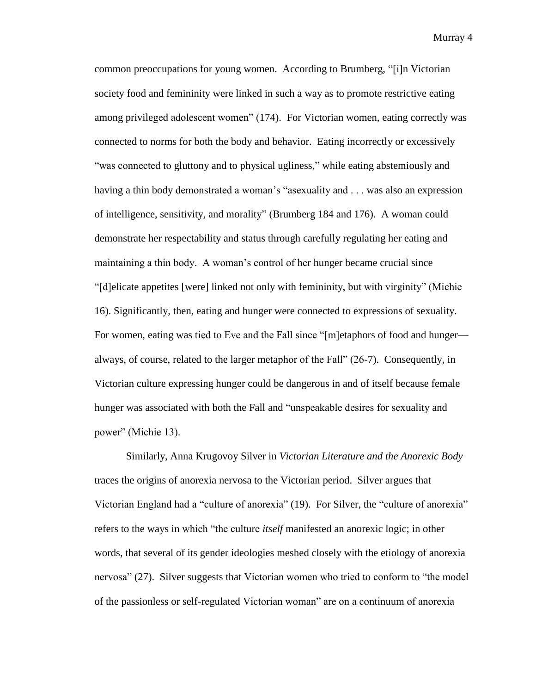common preoccupations for young women. According to Brumberg, "[i]n Victorian society food and femininity were linked in such a way as to promote restrictive eating among privileged adolescent women" (174). For Victorian women, eating correctly was connected to norms for both the body and behavior. Eating incorrectly or excessively ―was connected to gluttony and to physical ugliness,‖ while eating abstemiously and having a thin body demonstrated a woman's "asexuality and . . . was also an expression of intelligence, sensitivity, and morality" (Brumberg 184 and 176). A woman could demonstrate her respectability and status through carefully regulating her eating and maintaining a thin body. A woman's control of her hunger became crucial since ―[d]elicate appetites [were] linked not only with femininity, but with virginity‖ (Michie 16). Significantly, then, eating and hunger were connected to expressions of sexuality. For women, eating was tied to Eve and the Fall since "[m]etaphors of food and hunger always, of course, related to the larger metaphor of the Fall" (26-7). Consequently, in Victorian culture expressing hunger could be dangerous in and of itself because female hunger was associated with both the Fall and "unspeakable desires for sexuality and power" (Michie 13).

Similarly, Anna Krugovoy Silver in *Victorian Literature and the Anorexic Body* traces the origins of anorexia nervosa to the Victorian period. Silver argues that Victorian England had a "culture of anorexia" (19). For Silver, the "culture of anorexia" refers to the ways in which "the culture *itself* manifested an anorexic logic; in other words, that several of its gender ideologies meshed closely with the etiology of anorexia nervosa" (27). Silver suggests that Victorian women who tried to conform to "the model" of the passionless or self-regulated Victorian woman‖ are on a continuum of anorexia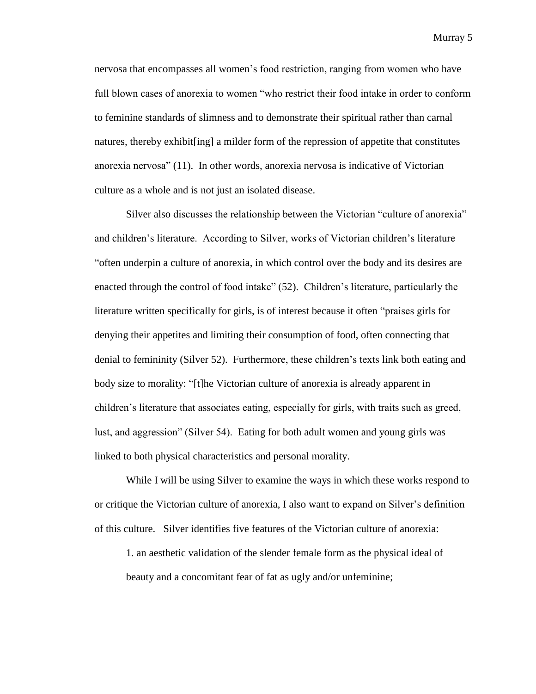nervosa that encompasses all women's food restriction, ranging from women who have full blown cases of anorexia to women "who restrict their food intake in order to conform to feminine standards of slimness and to demonstrate their spiritual rather than carnal natures, thereby exhibit[ing] a milder form of the repression of appetite that constitutes anorexia nervosa‖ (11). In other words, anorexia nervosa is indicative of Victorian culture as a whole and is not just an isolated disease.

Silver also discusses the relationship between the Victorian "culture of anorexia" and children's literature. According to Silver, works of Victorian children's literature ―often underpin a culture of anorexia, in which control over the body and its desires are enacted through the control of food intake" (52). Children's literature, particularly the literature written specifically for girls, is of interest because it often "praises girls for denying their appetites and limiting their consumption of food, often connecting that denial to femininity (Silver 52). Furthermore, these children's texts link both eating and body size to morality: "[t]he Victorian culture of anorexia is already apparent in children's literature that associates eating, especially for girls, with traits such as greed, lust, and aggression" (Silver 54). Eating for both adult women and young girls was linked to both physical characteristics and personal morality.

While I will be using Silver to examine the ways in which these works respond to or critique the Victorian culture of anorexia, I also want to expand on Silver's definition of this culture. Silver identifies five features of the Victorian culture of anorexia:

1. an aesthetic validation of the slender female form as the physical ideal of beauty and a concomitant fear of fat as ugly and/or unfeminine;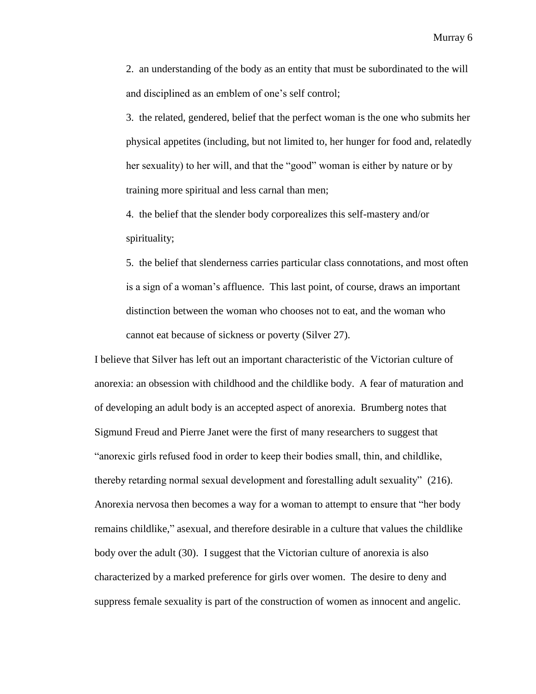2. an understanding of the body as an entity that must be subordinated to the will and disciplined as an emblem of one's self control;

3. the related, gendered, belief that the perfect woman is the one who submits her physical appetites (including, but not limited to, her hunger for food and, relatedly her sexuality) to her will, and that the "good" woman is either by nature or by training more spiritual and less carnal than men;

4. the belief that the slender body corporealizes this self-mastery and/or spirituality;

5. the belief that slenderness carries particular class connotations, and most often is a sign of a woman's affluence. This last point, of course, draws an important distinction between the woman who chooses not to eat, and the woman who cannot eat because of sickness or poverty (Silver 27).

I believe that Silver has left out an important characteristic of the Victorian culture of anorexia: an obsession with childhood and the childlike body. A fear of maturation and of developing an adult body is an accepted aspect of anorexia. Brumberg notes that Sigmund Freud and Pierre Janet were the first of many researchers to suggest that "anorexic girls refused food in order to keep their bodies small, thin, and childlike, thereby retarding normal sexual development and forestalling adult sexuality"  $(216)$ . Anorexia nervosa then becomes a way for a woman to attempt to ensure that "her body" remains childlike," asexual, and therefore desirable in a culture that values the childlike body over the adult (30). I suggest that the Victorian culture of anorexia is also characterized by a marked preference for girls over women. The desire to deny and suppress female sexuality is part of the construction of women as innocent and angelic.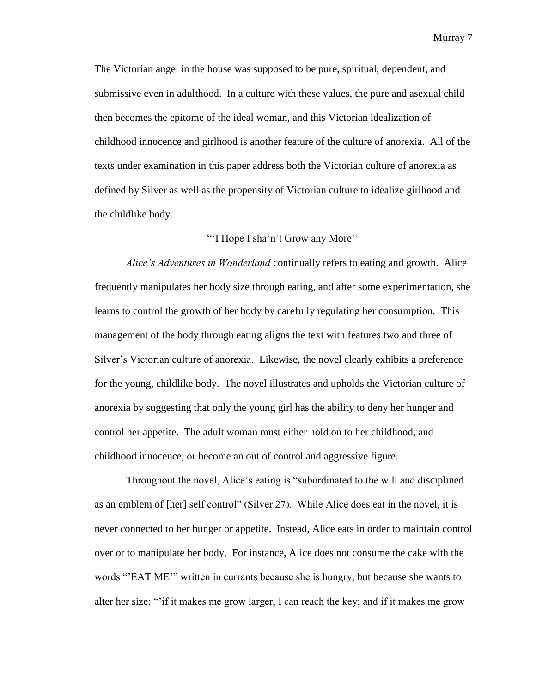The Victorian angel in the house was supposed to be pure, spiritual, dependent, and submissive even in adulthood. In a culture with these values, the pure and asexual child then becomes the epitome of the ideal woman, and this Victorian idealization of childhood innocence and girlhood is another feature of the culture of anorexia. All of the texts under examination in this paper address both the Victorian culture of anorexia as defined by Silver as well as the propensity of Victorian culture to idealize girlhood and the childlike body.

#### "I Hope I sha'n't Grow any More'"

*Alice's Adventures in Wonderland* continually refers to eating and growth. Alice frequently manipulates her body size through eating, and after some experimentation, she learns to control the growth of her body by carefully regulating her consumption. This management of the body through eating aligns the text with features two and three of Silver's Victorian culture of anorexia. Likewise, the novel clearly exhibits a preference for the young, childlike body. The novel illustrates and upholds the Victorian culture of anorexia by suggesting that only the young girl has the ability to deny her hunger and control her appetite. The adult woman must either hold on to her childhood, and childhood innocence, or become an out of control and aggressive figure.

Throughout the novel, Alice's eating is "subordinated to the will and disciplined as an emblem of [her] self control" (Silver 27). While Alice does eat in the novel, it is never connected to her hunger or appetite. Instead, Alice eats in order to maintain control over or to manipulate her body. For instance, Alice does not consume the cake with the words "EAT ME" written in currants because she is hungry, but because she wants to alter her size: "if it makes me grow larger, I can reach the key; and if it makes me grow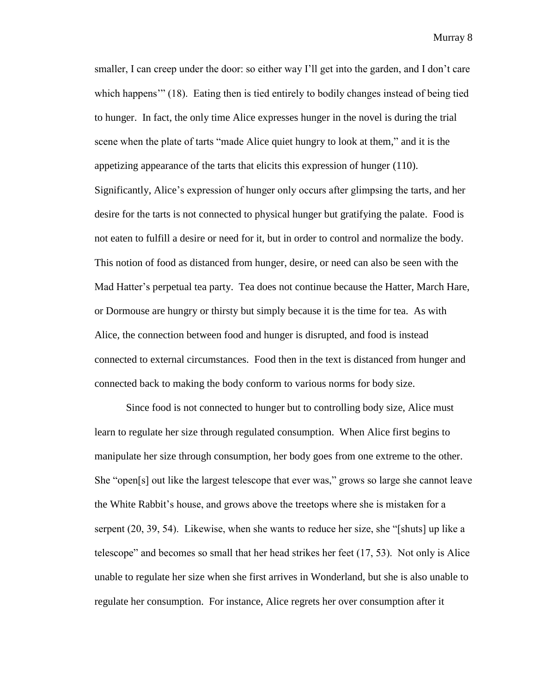smaller, I can creep under the door: so either way I'll get into the garden, and I don't care which happens'" (18). Eating then is tied entirely to bodily changes instead of being tied to hunger. In fact, the only time Alice expresses hunger in the novel is during the trial scene when the plate of tarts "made Alice quiet hungry to look at them," and it is the appetizing appearance of the tarts that elicits this expression of hunger (110). Significantly, Alice's expression of hunger only occurs after glimpsing the tarts, and her desire for the tarts is not connected to physical hunger but gratifying the palate. Food is not eaten to fulfill a desire or need for it, but in order to control and normalize the body. This notion of food as distanced from hunger, desire, or need can also be seen with the Mad Hatter's perpetual tea party. Tea does not continue because the Hatter, March Hare, or Dormouse are hungry or thirsty but simply because it is the time for tea. As with Alice, the connection between food and hunger is disrupted, and food is instead connected to external circumstances. Food then in the text is distanced from hunger and connected back to making the body conform to various norms for body size.

Since food is not connected to hunger but to controlling body size, Alice must learn to regulate her size through regulated consumption. When Alice first begins to manipulate her size through consumption, her body goes from one extreme to the other. She "open[s] out like the largest telescope that ever was," grows so large she cannot leave the White Rabbit's house, and grows above the treetops where she is mistaken for a serpent  $(20, 39, 54)$ . Likewise, when she wants to reduce her size, she "[shuts] up like a telescope" and becomes so small that her head strikes her feet  $(17, 53)$ . Not only is Alice unable to regulate her size when she first arrives in Wonderland, but she is also unable to regulate her consumption. For instance, Alice regrets her over consumption after it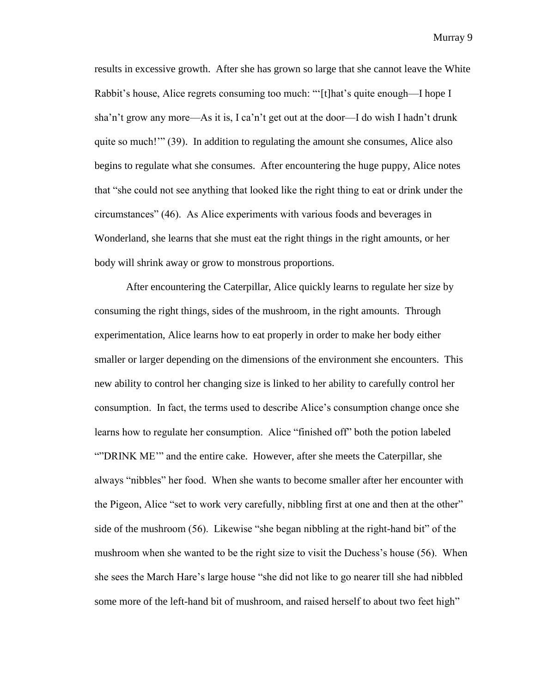results in excessive growth. After she has grown so large that she cannot leave the White Rabbit's house, Alice regrets consuming too much: "'[t]hat's quite enough—I hope I sha'n't grow any more—As it is, I ca'n't get out at the door—I do wish I hadn't drunk quite so much!" (39). In addition to regulating the amount she consumes, Alice also begins to regulate what she consumes. After encountering the huge puppy, Alice notes that "she could not see anything that looked like the right thing to eat or drink under the circumstances‖ (46). As Alice experiments with various foods and beverages in Wonderland, she learns that she must eat the right things in the right amounts, or her body will shrink away or grow to monstrous proportions.

After encountering the Caterpillar, Alice quickly learns to regulate her size by consuming the right things, sides of the mushroom, in the right amounts. Through experimentation, Alice learns how to eat properly in order to make her body either smaller or larger depending on the dimensions of the environment she encounters. This new ability to control her changing size is linked to her ability to carefully control her consumption. In fact, the terms used to describe Alice's consumption change once she learns how to regulate her consumption. Alice "finished off" both the potion labeled ""DRINK ME"" and the entire cake. However, after she meets the Caterpillar, she always "nibbles" her food. When she wants to become smaller after her encounter with the Pigeon, Alice "set to work very carefully, nibbling first at one and then at the other" side of the mushroom  $(56)$ . Likewise "she began nibbling at the right-hand bit" of the mushroom when she wanted to be the right size to visit the Duchess's house (56). When she sees the March Hare's large house "she did not like to go nearer till she had nibbled some more of the left-hand bit of mushroom, and raised herself to about two feet high"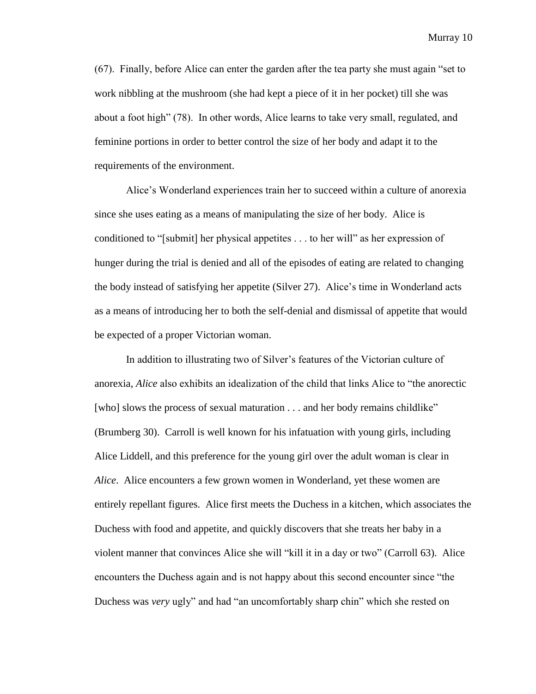$(67)$ . Finally, before Alice can enter the garden after the tea party she must again "set to work nibbling at the mushroom (she had kept a piece of it in her pocket) till she was about a foot high" (78). In other words, Alice learns to take very small, regulated, and feminine portions in order to better control the size of her body and adapt it to the requirements of the environment.

Alice's Wonderland experiences train her to succeed within a culture of anorexia since she uses eating as a means of manipulating the size of her body. Alice is conditioned to "[submit] her physical appetites . . . to her will" as her expression of hunger during the trial is denied and all of the episodes of eating are related to changing the body instead of satisfying her appetite (Silver 27). Alice's time in Wonderland acts as a means of introducing her to both the self-denial and dismissal of appetite that would be expected of a proper Victorian woman.

In addition to illustrating two of Silver's features of the Victorian culture of anorexia, *Alice* also exhibits an idealization of the child that links Alice to "the anorectic [who] slows the process of sexual maturation . . . and her body remains childlike" (Brumberg 30). Carroll is well known for his infatuation with young girls, including Alice Liddell, and this preference for the young girl over the adult woman is clear in *Alice*. Alice encounters a few grown women in Wonderland, yet these women are entirely repellant figures. Alice first meets the Duchess in a kitchen, which associates the Duchess with food and appetite, and quickly discovers that she treats her baby in a violent manner that convinces Alice she will "kill it in a day or two" (Carroll 63). Alice encounters the Duchess again and is not happy about this second encounter since "the Duchess was *very* ugly" and had "an uncomfortably sharp chin" which she rested on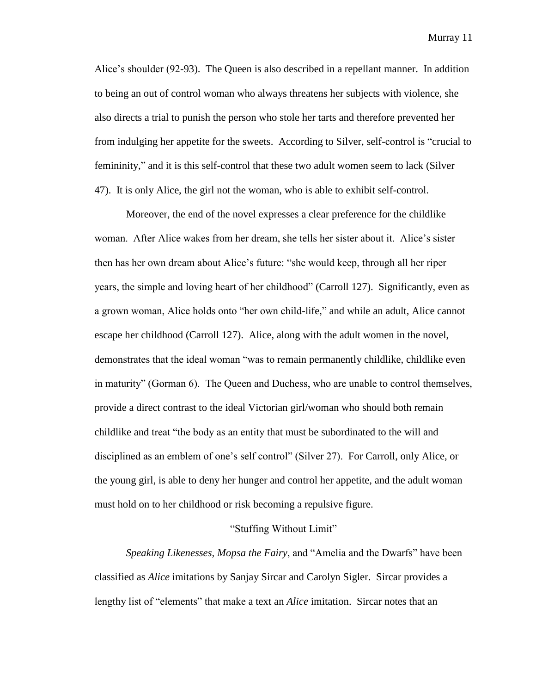Alice's shoulder (92-93). The Queen is also described in a repellant manner. In addition to being an out of control woman who always threatens her subjects with violence, she also directs a trial to punish the person who stole her tarts and therefore prevented her from indulging her appetite for the sweets. According to Silver, self-control is "crucial to femininity," and it is this self-control that these two adult women seem to lack (Silver 47). It is only Alice, the girl not the woman, who is able to exhibit self-control.

Moreover, the end of the novel expresses a clear preference for the childlike woman. After Alice wakes from her dream, she tells her sister about it. Alice's sister then has her own dream about Alice's future: "she would keep, through all her riper years, the simple and loving heart of her childhood‖ (Carroll 127). Significantly, even as a grown woman, Alice holds onto "her own child-life," and while an adult, Alice cannot escape her childhood (Carroll 127). Alice, along with the adult women in the novel, demonstrates that the ideal woman "was to remain permanently childlike, childlike even in maturity" (Gorman 6). The Queen and Duchess, who are unable to control themselves, provide a direct contrast to the ideal Victorian girl/woman who should both remain childlike and treat "the body as an entity that must be subordinated to the will and disciplined as an emblem of one's self control" (Silver 27). For Carroll, only Alice, or the young girl, is able to deny her hunger and control her appetite, and the adult woman must hold on to her childhood or risk becoming a repulsive figure.

#### "Stuffing Without Limit"

*Speaking Likenesses, Mopsa the Fairy, and "Amelia and the Dwarfs" have been* classified as *Alice* imitations by Sanjay Sircar and Carolyn Sigler. Sircar provides a lengthy list of "elements" that make a text an *Alice* imitation. Sircar notes that an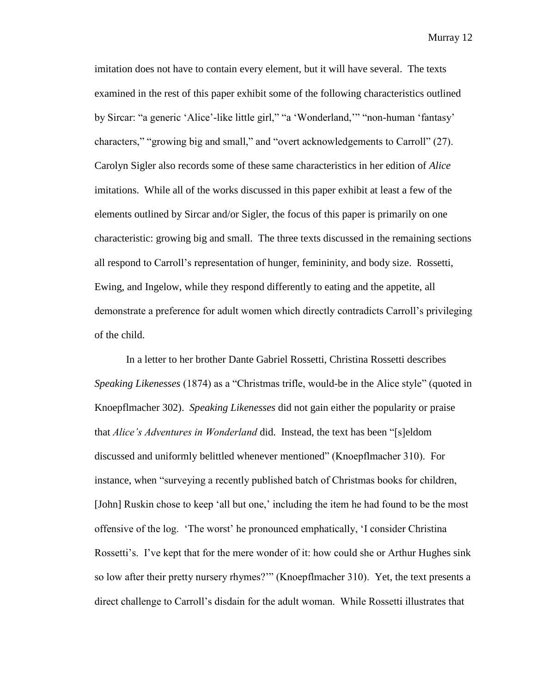imitation does not have to contain every element, but it will have several. The texts examined in the rest of this paper exhibit some of the following characteristics outlined by Sircar: "a generic 'Alice'-like little girl," "a 'Wonderland," "non-human 'fantasy' characters," "growing big and small," and "overt acknowledgements to Carroll" (27). Carolyn Sigler also records some of these same characteristics in her edition of *Alice* imitations. While all of the works discussed in this paper exhibit at least a few of the elements outlined by Sircar and/or Sigler, the focus of this paper is primarily on one characteristic: growing big and small. The three texts discussed in the remaining sections all respond to Carroll's representation of hunger, femininity, and body size. Rossetti, Ewing, and Ingelow, while they respond differently to eating and the appetite, all demonstrate a preference for adult women which directly contradicts Carroll's privileging of the child.

In a letter to her brother Dante Gabriel Rossetti, Christina Rossetti describes *Speaking Likenesses* (1874) as a "Christmas trifle, would-be in the Alice style" (quoted in Knoepflmacher 302). *Speaking Likenesses* did not gain either the popularity or praise that *Alice's Adventures in Wonderland* did. Instead, the text has been "[s]eldom discussed and uniformly belittled whenever mentioned‖ (Knoepflmacher 310). For instance, when "surveying a recently published batch of Christmas books for children, [John] Ruskin chose to keep 'all but one,' including the item he had found to be the most offensive of the log. ‗The worst' he pronounced emphatically, ‗I consider Christina Rossetti's. I've kept that for the mere wonder of it: how could she or Arthur Hughes sink so low after their pretty nursery rhymes?"" (Knoepflmacher 310). Yet, the text presents a direct challenge to Carroll's disdain for the adult woman. While Rossetti illustrates that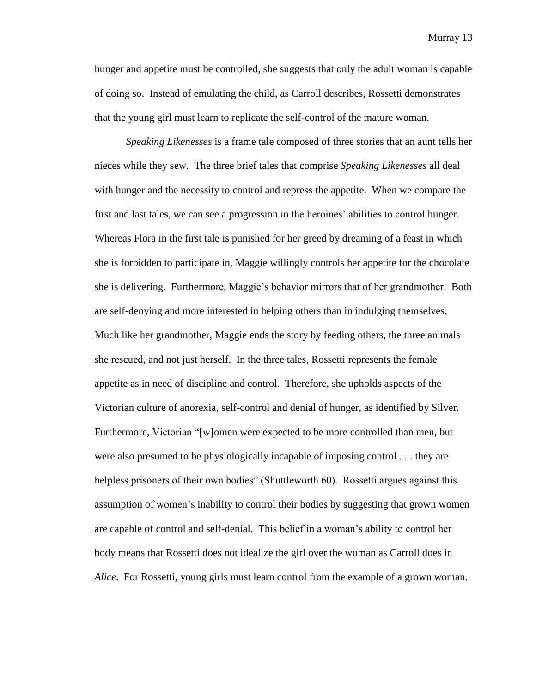hunger and appetite must be controlled, she suggests that only the adult woman is capable of doing so. Instead of emulating the child, as Carroll describes, Rossetti demonstrates that the young girl must learn to replicate the self-control of the mature woman.

*Speaking Likenesses* is a frame tale composed of three stories that an aunt tells her nieces while they sew. The three brief tales that comprise *Speaking Likenesses* all deal with hunger and the necessity to control and repress the appetite. When we compare the first and last tales, we can see a progression in the heroines' abilities to control hunger. Whereas Flora in the first tale is punished for her greed by dreaming of a feast in which she is forbidden to participate in, Maggie willingly controls her appetite for the chocolate she is delivering. Furthermore, Maggie's behavior mirrors that of her grandmother. Both are self-denying and more interested in helping others than in indulging themselves. Much like her grandmother, Maggie ends the story by feeding others, the three animals she rescued, and not just herself. In the three tales, Rossetti represents the female appetite as in need of discipline and control. Therefore, she upholds aspects of the Victorian culture of anorexia, self-control and denial of hunger, as identified by Silver. Furthermore, Victorian "[w]omen were expected to be more controlled than men, but were also presumed to be physiologically incapable of imposing control . . . they are helpless prisoners of their own bodies" (Shuttleworth 60). Rossetti argues against this assumption of women's inability to control their bodies by suggesting that grown women are capable of control and self-denial. This belief in a woman's ability to control her body means that Rossetti does not idealize the girl over the woman as Carroll does in *Alice*. For Rossetti, young girls must learn control from the example of a grown woman.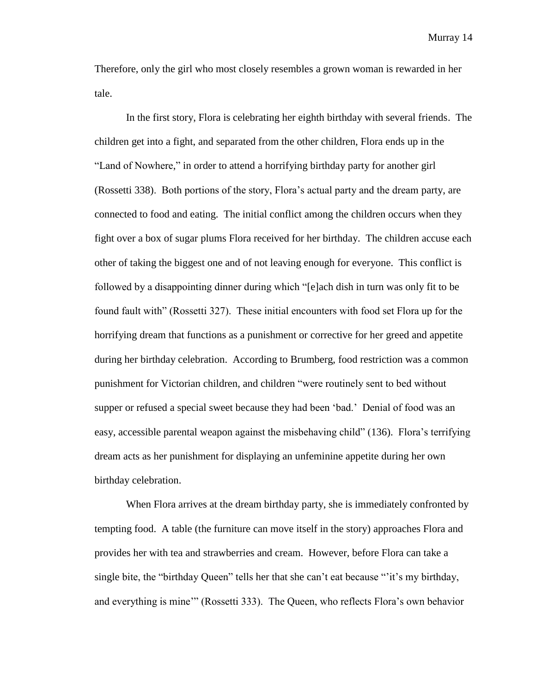Therefore, only the girl who most closely resembles a grown woman is rewarded in her tale.

In the first story, Flora is celebrating her eighth birthday with several friends. The children get into a fight, and separated from the other children, Flora ends up in the "Land of Nowhere," in order to attend a horrifying birthday party for another girl (Rossetti 338). Both portions of the story, Flora's actual party and the dream party, are connected to food and eating. The initial conflict among the children occurs when they fight over a box of sugar plums Flora received for her birthday. The children accuse each other of taking the biggest one and of not leaving enough for everyone. This conflict is followed by a disappointing dinner during which "[e]ach dish in turn was only fit to be found fault with" (Rossetti 327). These initial encounters with food set Flora up for the horrifying dream that functions as a punishment or corrective for her greed and appetite during her birthday celebration. According to Brumberg, food restriction was a common punishment for Victorian children, and children "were routinely sent to bed without supper or refused a special sweet because they had been 'bad.' Denial of food was an easy, accessible parental weapon against the misbehaving child" (136). Flora's terrifying dream acts as her punishment for displaying an unfeminine appetite during her own birthday celebration.

When Flora arrives at the dream birthday party, she is immediately confronted by tempting food. A table (the furniture can move itself in the story) approaches Flora and provides her with tea and strawberries and cream. However, before Flora can take a single bite, the "birthday Queen" tells her that she can't eat because "it's my birthday, and everything is mine"" (Rossetti 333). The Queen, who reflects Flora's own behavior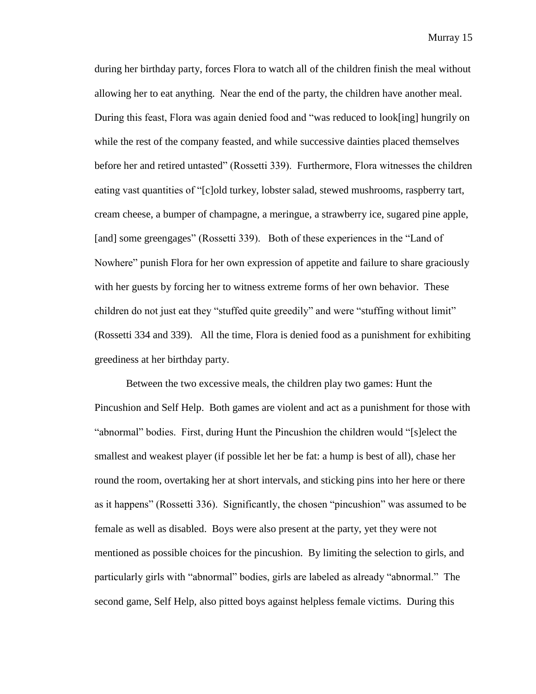during her birthday party, forces Flora to watch all of the children finish the meal without allowing her to eat anything. Near the end of the party, the children have another meal. During this feast, Flora was again denied food and "was reduced to look[ing] hungrily on while the rest of the company feasted, and while successive dainties placed themselves before her and retired untasted" (Rossetti 339). Furthermore, Flora witnesses the children eating vast quantities of "[c]old turkey, lobster salad, stewed mushrooms, raspberry tart, cream cheese, a bumper of champagne, a meringue, a strawberry ice, sugared pine apple, [and] some greengages" (Rossetti 339). Both of these experiences in the "Land of Nowhere" punish Flora for her own expression of appetite and failure to share graciously with her guests by forcing her to witness extreme forms of her own behavior. These children do not just eat they "stuffed quite greedily" and were "stuffing without limit" (Rossetti 334 and 339). All the time, Flora is denied food as a punishment for exhibiting greediness at her birthday party.

Between the two excessive meals, the children play two games: Hunt the Pincushion and Self Help. Both games are violent and act as a punishment for those with "abnormal" bodies. First, during Hunt the Pincushion the children would "[s]elect the smallest and weakest player (if possible let her be fat: a hump is best of all), chase her round the room, overtaking her at short intervals, and sticking pins into her here or there as it happens" (Rossetti 336). Significantly, the chosen "pincushion" was assumed to be female as well as disabled. Boys were also present at the party, yet they were not mentioned as possible choices for the pincushion. By limiting the selection to girls, and particularly girls with "abnormal" bodies, girls are labeled as already "abnormal." The second game, Self Help, also pitted boys against helpless female victims. During this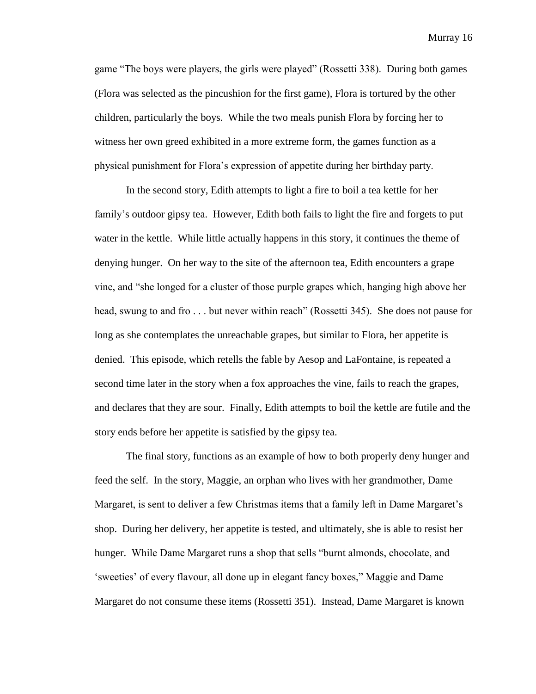game "The boys were players, the girls were played" (Rossetti 338). During both games (Flora was selected as the pincushion for the first game), Flora is tortured by the other children, particularly the boys. While the two meals punish Flora by forcing her to witness her own greed exhibited in a more extreme form, the games function as a physical punishment for Flora's expression of appetite during her birthday party.

In the second story, Edith attempts to light a fire to boil a tea kettle for her family's outdoor gipsy tea. However, Edith both fails to light the fire and forgets to put water in the kettle. While little actually happens in this story, it continues the theme of denying hunger. On her way to the site of the afternoon tea, Edith encounters a grape vine, and "she longed for a cluster of those purple grapes which, hanging high above her head, swung to and fro . . . but never within reach" (Rossetti 345). She does not pause for long as she contemplates the unreachable grapes, but similar to Flora, her appetite is denied. This episode, which retells the fable by Aesop and LaFontaine, is repeated a second time later in the story when a fox approaches the vine, fails to reach the grapes, and declares that they are sour. Finally, Edith attempts to boil the kettle are futile and the story ends before her appetite is satisfied by the gipsy tea.

The final story, functions as an example of how to both properly deny hunger and feed the self. In the story, Maggie, an orphan who lives with her grandmother, Dame Margaret, is sent to deliver a few Christmas items that a family left in Dame Margaret's shop. During her delivery, her appetite is tested, and ultimately, she is able to resist her hunger. While Dame Margaret runs a shop that sells "burnt almonds, chocolate, and ‗sweeties' of every flavour, all done up in elegant fancy boxes,‖ Maggie and Dame Margaret do not consume these items (Rossetti 351). Instead, Dame Margaret is known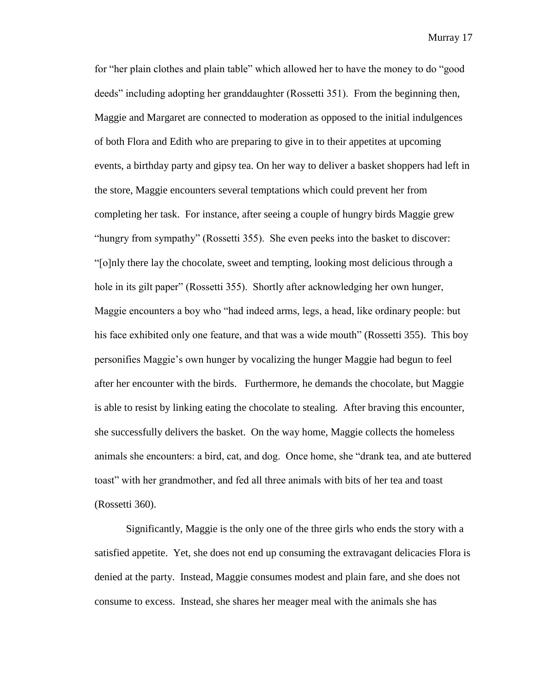for "her plain clothes and plain table" which allowed her to have the money to do "good deeds" including adopting her granddaughter (Rossetti 351). From the beginning then, Maggie and Margaret are connected to moderation as opposed to the initial indulgences of both Flora and Edith who are preparing to give in to their appetites at upcoming events, a birthday party and gipsy tea. On her way to deliver a basket shoppers had left in the store, Maggie encounters several temptations which could prevent her from completing her task. For instance, after seeing a couple of hungry birds Maggie grew "hungry from sympathy" (Rossetti 355). She even peeks into the basket to discover: ―[o]nly there lay the chocolate, sweet and tempting, looking most delicious through a hole in its gilt paper" (Rossetti 355). Shortly after acknowledging her own hunger, Maggie encounters a boy who "had indeed arms, legs, a head, like ordinary people: but his face exhibited only one feature, and that was a wide mouth" (Rossetti 355). This boy personifies Maggie's own hunger by vocalizing the hunger Maggie had begun to feel after her encounter with the birds. Furthermore, he demands the chocolate, but Maggie is able to resist by linking eating the chocolate to stealing. After braving this encounter, she successfully delivers the basket. On the way home, Maggie collects the homeless animals she encounters: a bird, cat, and dog. Once home, she "drank tea, and ate buttered toast‖ with her grandmother, and fed all three animals with bits of her tea and toast (Rossetti 360).

Significantly, Maggie is the only one of the three girls who ends the story with a satisfied appetite. Yet, she does not end up consuming the extravagant delicacies Flora is denied at the party. Instead, Maggie consumes modest and plain fare, and she does not consume to excess. Instead, she shares her meager meal with the animals she has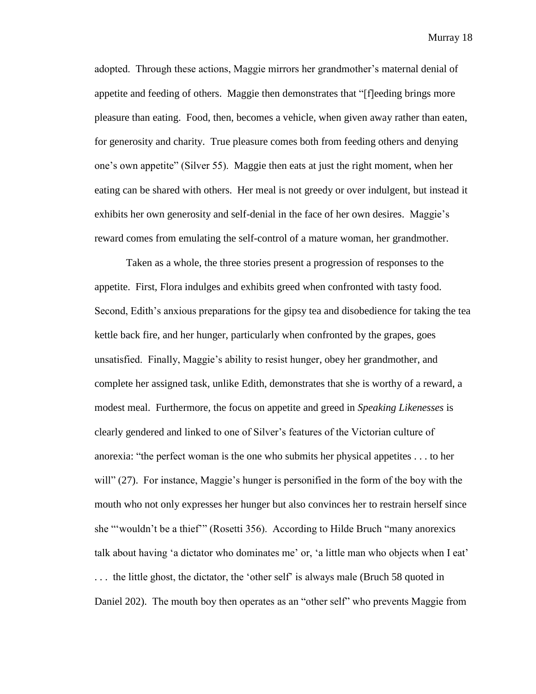adopted. Through these actions, Maggie mirrors her grandmother's maternal denial of appetite and feeding of others. Maggie then demonstrates that "[f]eeding brings more pleasure than eating. Food, then, becomes a vehicle, when given away rather than eaten, for generosity and charity. True pleasure comes both from feeding others and denying one's own appetite" (Silver 55). Maggie then eats at just the right moment, when her eating can be shared with others. Her meal is not greedy or over indulgent, but instead it exhibits her own generosity and self-denial in the face of her own desires. Maggie's reward comes from emulating the self-control of a mature woman, her grandmother.

Taken as a whole, the three stories present a progression of responses to the appetite. First, Flora indulges and exhibits greed when confronted with tasty food. Second, Edith's anxious preparations for the gipsy tea and disobedience for taking the tea kettle back fire, and her hunger, particularly when confronted by the grapes, goes unsatisfied. Finally, Maggie's ability to resist hunger, obey her grandmother, and complete her assigned task, unlike Edith, demonstrates that she is worthy of a reward, a modest meal. Furthermore, the focus on appetite and greed in *Speaking Likenesses* is clearly gendered and linked to one of Silver's features of the Victorian culture of anorexia: "the perfect woman is the one who submits her physical appetites  $\dots$  to her will"  $(27)$ . For instance, Maggie's hunger is personified in the form of the boy with the mouth who not only expresses her hunger but also convinces her to restrain herself since she "wouldn't be a thief" (Rosetti 356). According to Hilde Bruch "many anorexics talk about having ‗a dictator who dominates me' or, ‗a little man who objects when I eat' ... the little ghost, the dictator, the 'other self' is always male (Bruch 58 quoted in

Daniel 202). The mouth boy then operates as an "other self" who prevents Maggie from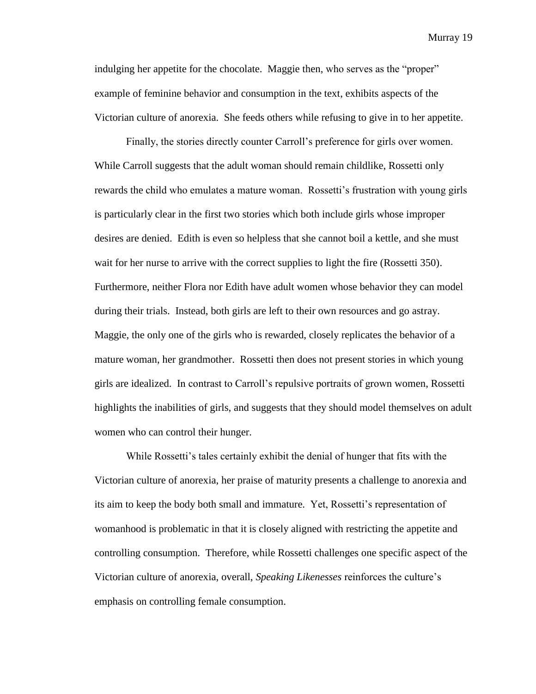indulging her appetite for the chocolate. Maggie then, who serves as the "proper" example of feminine behavior and consumption in the text, exhibits aspects of the Victorian culture of anorexia. She feeds others while refusing to give in to her appetite.

Finally, the stories directly counter Carroll's preference for girls over women. While Carroll suggests that the adult woman should remain childlike, Rossetti only rewards the child who emulates a mature woman. Rossetti's frustration with young girls is particularly clear in the first two stories which both include girls whose improper desires are denied. Edith is even so helpless that she cannot boil a kettle, and she must wait for her nurse to arrive with the correct supplies to light the fire (Rossetti 350). Furthermore, neither Flora nor Edith have adult women whose behavior they can model during their trials. Instead, both girls are left to their own resources and go astray. Maggie, the only one of the girls who is rewarded, closely replicates the behavior of a mature woman, her grandmother. Rossetti then does not present stories in which young girls are idealized. In contrast to Carroll's repulsive portraits of grown women, Rossetti highlights the inabilities of girls, and suggests that they should model themselves on adult women who can control their hunger.

While Rossetti's tales certainly exhibit the denial of hunger that fits with the Victorian culture of anorexia, her praise of maturity presents a challenge to anorexia and its aim to keep the body both small and immature. Yet, Rossetti's representation of womanhood is problematic in that it is closely aligned with restricting the appetite and controlling consumption. Therefore, while Rossetti challenges one specific aspect of the Victorian culture of anorexia, overall, *Speaking Likenesses* reinforces the culture's emphasis on controlling female consumption.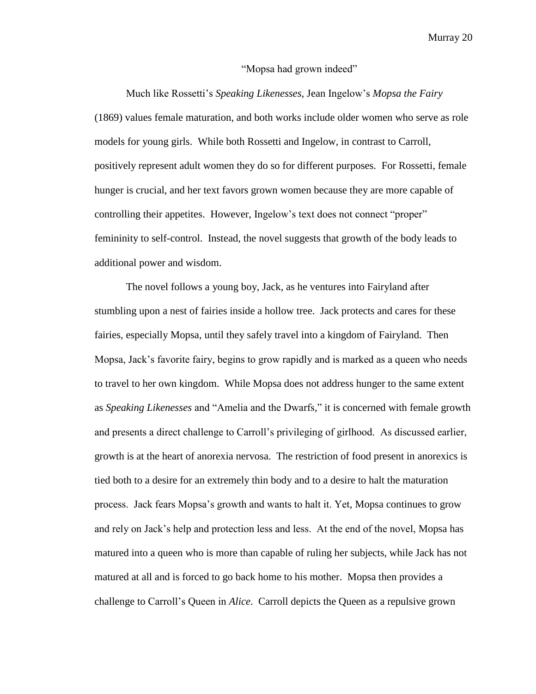#### "Mopsa had grown indeed"

Much like Rossetti's *Speaking Likenesses*, Jean Ingelow's *Mopsa the Fairy* (1869) values female maturation, and both works include older women who serve as role models for young girls. While both Rossetti and Ingelow, in contrast to Carroll, positively represent adult women they do so for different purposes. For Rossetti, female hunger is crucial, and her text favors grown women because they are more capable of controlling their appetites. However, Ingelow's text does not connect "proper" femininity to self-control. Instead, the novel suggests that growth of the body leads to additional power and wisdom.

The novel follows a young boy, Jack, as he ventures into Fairyland after stumbling upon a nest of fairies inside a hollow tree. Jack protects and cares for these fairies, especially Mopsa, until they safely travel into a kingdom of Fairyland. Then Mopsa, Jack's favorite fairy, begins to grow rapidly and is marked as a queen who needs to travel to her own kingdom. While Mopsa does not address hunger to the same extent as *Speaking Likenesses* and "Amelia and the Dwarfs," it is concerned with female growth and presents a direct challenge to Carroll's privileging of girlhood. As discussed earlier, growth is at the heart of anorexia nervosa. The restriction of food present in anorexics is tied both to a desire for an extremely thin body and to a desire to halt the maturation process. Jack fears Mopsa's growth and wants to halt it. Yet, Mopsa continues to grow and rely on Jack's help and protection less and less. At the end of the novel, Mopsa has matured into a queen who is more than capable of ruling her subjects, while Jack has not matured at all and is forced to go back home to his mother. Mopsa then provides a challenge to Carroll's Queen in *Alice*. Carroll depicts the Queen as a repulsive grown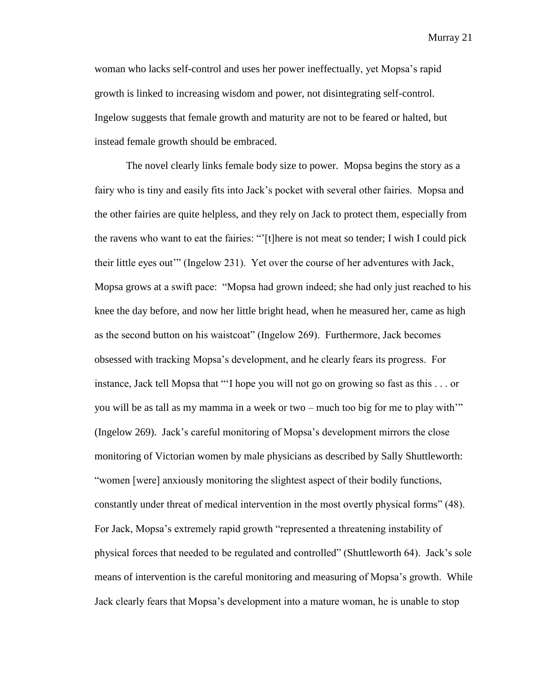woman who lacks self-control and uses her power ineffectually, yet Mopsa's rapid growth is linked to increasing wisdom and power, not disintegrating self-control. Ingelow suggests that female growth and maturity are not to be feared or halted, but instead female growth should be embraced.

The novel clearly links female body size to power. Mopsa begins the story as a fairy who is tiny and easily fits into Jack's pocket with several other fairies. Mopsa and the other fairies are quite helpless, and they rely on Jack to protect them, especially from the ravens who want to eat the fairies: "[t]here is not meat so tender; I wish I could pick their little eyes out" (Ingelow 231). Yet over the course of her adventures with Jack, Mopsa grows at a swift pace: "Mopsa had grown indeed; she had only just reached to his knee the day before, and now her little bright head, when he measured her, came as high as the second button on his waistcoat" (Ingelow 269). Furthermore, Jack becomes obsessed with tracking Mopsa's development, and he clearly fears its progress. For instance, Jack tell Mopsa that "'I hope you will not go on growing so fast as this . . . or you will be as tall as my mamma in a week or two – much too big for me to play with" (Ingelow 269). Jack's careful monitoring of Mopsa's development mirrors the close monitoring of Victorian women by male physicians as described by Sally Shuttleworth: ―women [were] anxiously monitoring the slightest aspect of their bodily functions, constantly under threat of medical intervention in the most overtly physical forms" (48). For Jack, Mopsa's extremely rapid growth "represented a threatening instability of physical forces that needed to be regulated and controlled‖ (Shuttleworth 64). Jack's sole means of intervention is the careful monitoring and measuring of Mopsa's growth. While Jack clearly fears that Mopsa's development into a mature woman, he is unable to stop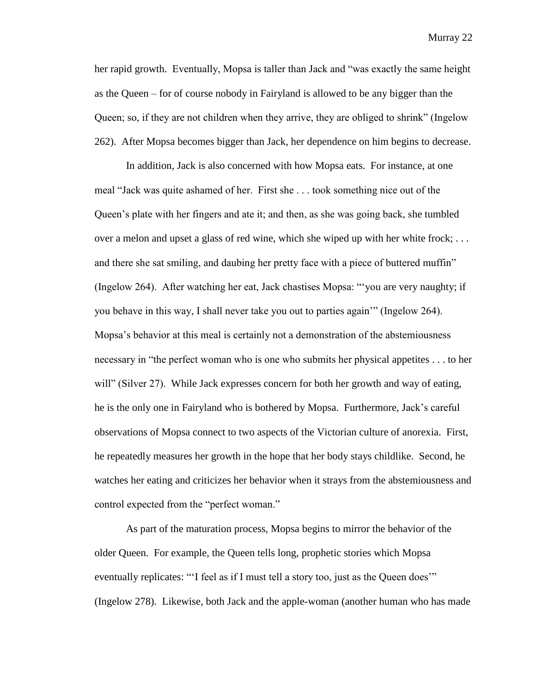her rapid growth. Eventually, Mopsa is taller than Jack and "was exactly the same height as the Queen – for of course nobody in Fairyland is allowed to be any bigger than the Queen; so, if they are not children when they arrive, they are obliged to shrink" (Ingelow 262). After Mopsa becomes bigger than Jack, her dependence on him begins to decrease.

In addition, Jack is also concerned with how Mopsa eats. For instance, at one meal "Jack was quite ashamed of her. First she . . . took something nice out of the Queen's plate with her fingers and ate it; and then, as she was going back, she tumbled over a melon and upset a glass of red wine, which she wiped up with her white frock; . . . and there she sat smiling, and daubing her pretty face with a piece of buttered muffin" (Ingelow 264). After watching her eat, Jack chastises Mopsa: "you are very naughty; if you behave in this way, I shall never take you out to parties again'" (Ingelow 264). Mopsa's behavior at this meal is certainly not a demonstration of the abstemiousness necessary in "the perfect woman who is one who submits her physical appetites . . . to her will" (Silver 27). While Jack expresses concern for both her growth and way of eating, he is the only one in Fairyland who is bothered by Mopsa. Furthermore, Jack's careful observations of Mopsa connect to two aspects of the Victorian culture of anorexia. First, he repeatedly measures her growth in the hope that her body stays childlike. Second, he watches her eating and criticizes her behavior when it strays from the abstemiousness and control expected from the "perfect woman."

As part of the maturation process, Mopsa begins to mirror the behavior of the older Queen. For example, the Queen tells long, prophetic stories which Mopsa eventually replicates: "I feel as if I must tell a story too, just as the Queen does" (Ingelow 278). Likewise, both Jack and the apple-woman (another human who has made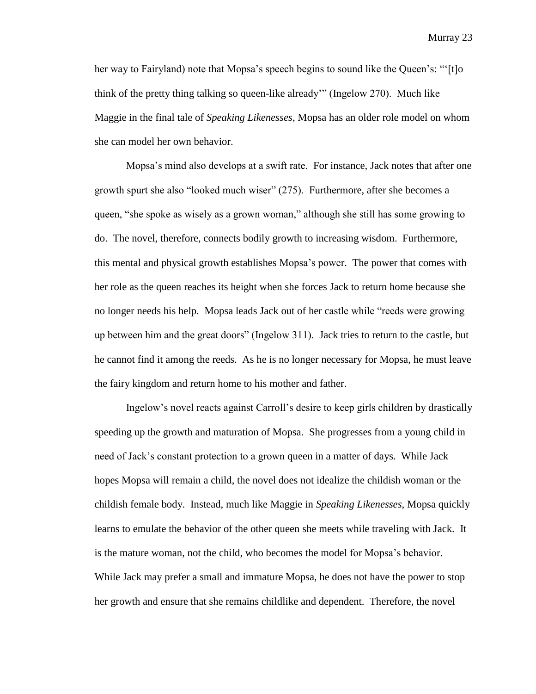her way to Fairyland) note that Mopsa's speech begins to sound like the Queen's: "'[t]o think of the pretty thing talking so queen-like already" (Ingelow 270). Much like Maggie in the final tale of *Speaking Likenesses*, Mopsa has an older role model on whom she can model her own behavior.

Mopsa's mind also develops at a swift rate. For instance, Jack notes that after one growth spurt she also "looked much wiser" (275). Furthermore, after she becomes a queen, "she spoke as wisely as a grown woman," although she still has some growing to do. The novel, therefore, connects bodily growth to increasing wisdom. Furthermore, this mental and physical growth establishes Mopsa's power. The power that comes with her role as the queen reaches its height when she forces Jack to return home because she no longer needs his help. Mopsa leads Jack out of her castle while "reeds were growing up between him and the great doors‖ (Ingelow 311). Jack tries to return to the castle, but he cannot find it among the reeds. As he is no longer necessary for Mopsa, he must leave the fairy kingdom and return home to his mother and father.

Ingelow's novel reacts against Carroll's desire to keep girls children by drastically speeding up the growth and maturation of Mopsa. She progresses from a young child in need of Jack's constant protection to a grown queen in a matter of days. While Jack hopes Mopsa will remain a child, the novel does not idealize the childish woman or the childish female body. Instead, much like Maggie in *Speaking Likenesses*, Mopsa quickly learns to emulate the behavior of the other queen she meets while traveling with Jack. It is the mature woman, not the child, who becomes the model for Mopsa's behavior. While Jack may prefer a small and immature Mopsa, he does not have the power to stop her growth and ensure that she remains childlike and dependent. Therefore, the novel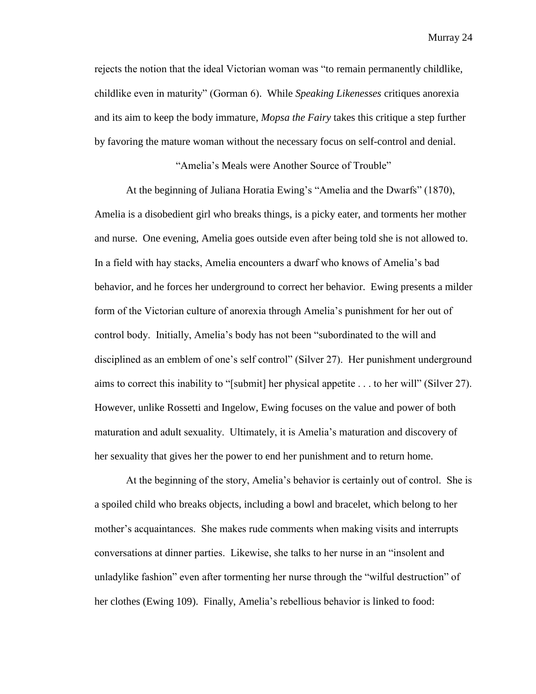rejects the notion that the ideal Victorian woman was "to remain permanently childlike, childlike even in maturity" (Gorman 6). While *Speaking Likenesses* critiques anorexia and its aim to keep the body immature, *Mopsa the Fairy* takes this critique a step further by favoring the mature woman without the necessary focus on self-control and denial.

"Amelia's Meals were Another Source of Trouble"

At the beginning of Juliana Horatia Ewing's "Amelia and the Dwarfs" (1870), Amelia is a disobedient girl who breaks things, is a picky eater, and torments her mother and nurse. One evening, Amelia goes outside even after being told she is not allowed to. In a field with hay stacks, Amelia encounters a dwarf who knows of Amelia's bad behavior, and he forces her underground to correct her behavior. Ewing presents a milder form of the Victorian culture of anorexia through Amelia's punishment for her out of control body. Initially, Amelia's body has not been "subordinated to the will and disciplined as an emblem of one's self control" (Silver 27). Her punishment underground aims to correct this inability to "[submit] her physical appetite  $\ldots$  to her will" (Silver 27). However, unlike Rossetti and Ingelow, Ewing focuses on the value and power of both maturation and adult sexuality. Ultimately, it is Amelia's maturation and discovery of her sexuality that gives her the power to end her punishment and to return home.

At the beginning of the story, Amelia's behavior is certainly out of control. She is a spoiled child who breaks objects, including a bowl and bracelet, which belong to her mother's acquaintances. She makes rude comments when making visits and interrupts conversations at dinner parties. Likewise, she talks to her nurse in an "insolent and" unladylike fashion" even after tormenting her nurse through the "wilful destruction" of her clothes (Ewing 109). Finally, Amelia's rebellious behavior is linked to food: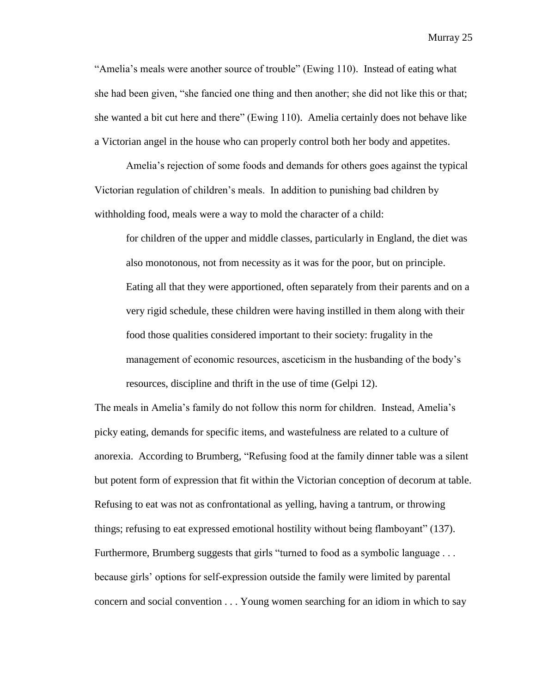―Amelia's meals were another source of trouble‖ (Ewing 110). Instead of eating what she had been given, "she fancied one thing and then another; she did not like this or that; she wanted a bit cut here and there" (Ewing 110). Amelia certainly does not behave like a Victorian angel in the house who can properly control both her body and appetites.

Amelia's rejection of some foods and demands for others goes against the typical Victorian regulation of children's meals. In addition to punishing bad children by withholding food, meals were a way to mold the character of a child:

for children of the upper and middle classes, particularly in England, the diet was also monotonous, not from necessity as it was for the poor, but on principle. Eating all that they were apportioned, often separately from their parents and on a very rigid schedule, these children were having instilled in them along with their food those qualities considered important to their society: frugality in the management of economic resources, asceticism in the husbanding of the body's resources, discipline and thrift in the use of time (Gelpi 12).

The meals in Amelia's family do not follow this norm for children. Instead, Amelia's picky eating, demands for specific items, and wastefulness are related to a culture of anorexia. According to Brumberg, "Refusing food at the family dinner table was a silent but potent form of expression that fit within the Victorian conception of decorum at table. Refusing to eat was not as confrontational as yelling, having a tantrum, or throwing things; refusing to eat expressed emotional hostility without being flamboyant" (137). Furthermore, Brumberg suggests that girls "turned to food as a symbolic language  $\dots$ because girls' options for self-expression outside the family were limited by parental concern and social convention . . . Young women searching for an idiom in which to say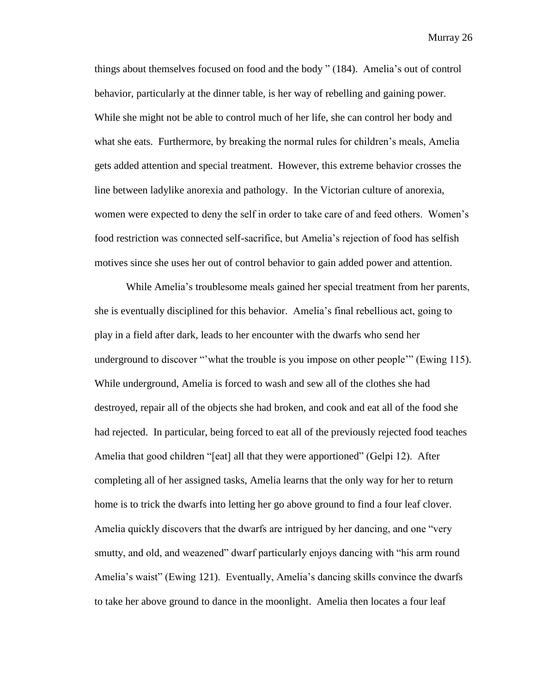things about themselves focused on food and the body " (184). Amelia's out of control behavior, particularly at the dinner table, is her way of rebelling and gaining power. While she might not be able to control much of her life, she can control her body and what she eats. Furthermore, by breaking the normal rules for children's meals, Amelia gets added attention and special treatment. However, this extreme behavior crosses the line between ladylike anorexia and pathology. In the Victorian culture of anorexia, women were expected to deny the self in order to take care of and feed others. Women's food restriction was connected self-sacrifice, but Amelia's rejection of food has selfish motives since she uses her out of control behavior to gain added power and attention.

While Amelia's troublesome meals gained her special treatment from her parents, she is eventually disciplined for this behavior. Amelia's final rebellious act, going to play in a field after dark, leads to her encounter with the dwarfs who send her underground to discover "'what the trouble is you impose on other people'" (Ewing 115). While underground, Amelia is forced to wash and sew all of the clothes she had destroyed, repair all of the objects she had broken, and cook and eat all of the food she had rejected. In particular, being forced to eat all of the previously rejected food teaches Amelia that good children "[eat] all that they were apportioned" (Gelpi 12). After completing all of her assigned tasks, Amelia learns that the only way for her to return home is to trick the dwarfs into letting her go above ground to find a four leaf clover. Amelia quickly discovers that the dwarfs are intrigued by her dancing, and one "very" smutty, and old, and weazened" dwarf particularly enjoys dancing with "his arm round Amelia's waist" (Ewing 121). Eventually, Amelia's dancing skills convince the dwarfs to take her above ground to dance in the moonlight. Amelia then locates a four leaf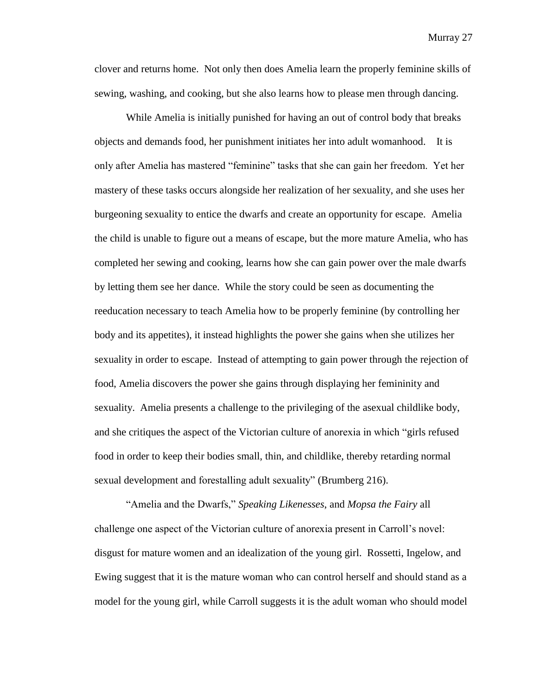clover and returns home. Not only then does Amelia learn the properly feminine skills of sewing, washing, and cooking, but she also learns how to please men through dancing.

While Amelia is initially punished for having an out of control body that breaks objects and demands food, her punishment initiates her into adult womanhood. It is only after Amelia has mastered "feminine" tasks that she can gain her freedom. Yet her mastery of these tasks occurs alongside her realization of her sexuality, and she uses her burgeoning sexuality to entice the dwarfs and create an opportunity for escape. Amelia the child is unable to figure out a means of escape, but the more mature Amelia, who has completed her sewing and cooking, learns how she can gain power over the male dwarfs by letting them see her dance. While the story could be seen as documenting the reeducation necessary to teach Amelia how to be properly feminine (by controlling her body and its appetites), it instead highlights the power she gains when she utilizes her sexuality in order to escape. Instead of attempting to gain power through the rejection of food, Amelia discovers the power she gains through displaying her femininity and sexuality. Amelia presents a challenge to the privileging of the asexual childlike body, and she critiques the aspect of the Victorian culture of anorexia in which "girls refused food in order to keep their bodies small, thin, and childlike, thereby retarding normal sexual development and forestalling adult sexuality" (Brumberg 216).

―Amelia and the Dwarfs,‖ *Speaking Likenesses*, and *Mopsa the Fairy* all challenge one aspect of the Victorian culture of anorexia present in Carroll's novel: disgust for mature women and an idealization of the young girl. Rossetti, Ingelow, and Ewing suggest that it is the mature woman who can control herself and should stand as a model for the young girl, while Carroll suggests it is the adult woman who should model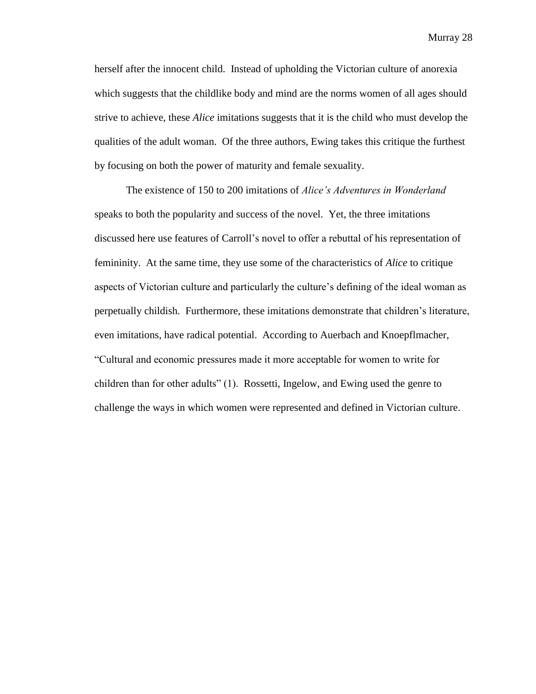herself after the innocent child. Instead of upholding the Victorian culture of anorexia which suggests that the childlike body and mind are the norms women of all ages should strive to achieve, these *Alice* imitations suggests that it is the child who must develop the qualities of the adult woman. Of the three authors, Ewing takes this critique the furthest by focusing on both the power of maturity and female sexuality.

The existence of 150 to 200 imitations of *Alice's Adventures in Wonderland* speaks to both the popularity and success of the novel. Yet, the three imitations discussed here use features of Carroll's novel to offer a rebuttal of his representation of femininity. At the same time, they use some of the characteristics of *Alice* to critique aspects of Victorian culture and particularly the culture's defining of the ideal woman as perpetually childish. Furthermore, these imitations demonstrate that children's literature, even imitations, have radical potential. According to Auerbach and Knoepflmacher, ―Cultural and economic pressures made it more acceptable for women to write for children than for other adults" (1). Rossetti, Ingelow, and Ewing used the genre to challenge the ways in which women were represented and defined in Victorian culture.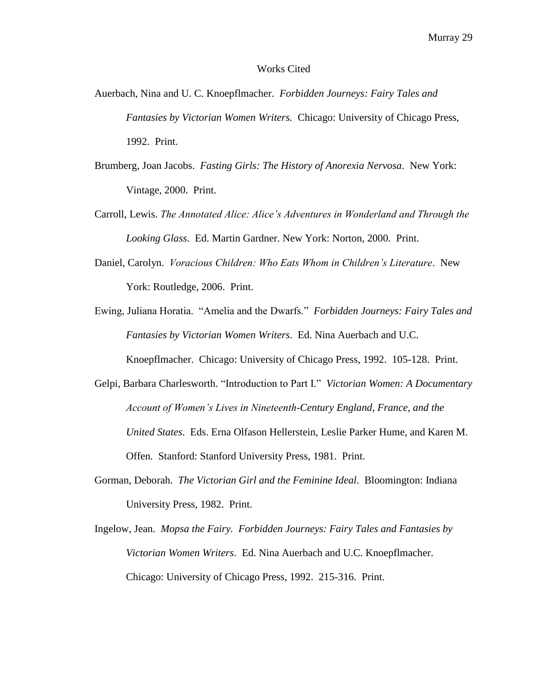#### Works Cited

- Auerbach, Nina and U. C. Knoepflmacher. *Forbidden Journeys: Fairy Tales and Fantasies by Victorian Women Writers.* Chicago: University of Chicago Press, 1992. Print.
- Brumberg, Joan Jacobs. *Fasting Girls: The History of Anorexia Nervosa*. New York: Vintage, 2000. Print.
- Carroll, Lewis. *The Annotated Alice: Alice's Adventures in Wonderland and Through the Looking Glass*. Ed. Martin Gardner. New York: Norton, 2000. Print.
- Daniel, Carolyn. *Voracious Children: Who Eats Whom in Children's Literature*. New York: Routledge, 2006. Print.
- Ewing, Juliana Horatia. "Amelia and the Dwarfs." *Forbidden Journeys: Fairy Tales and Fantasies by Victorian Women Writers*. Ed. Nina Auerbach and U.C. Knoepflmacher. Chicago: University of Chicago Press, 1992. 105-128. Print.
- Gelpi, Barbara Charlesworth. "Introduction to Part I." *Victorian Women: A Documentary Account of Women's Lives in Nineteenth-Century England, France, and the United States*. Eds. Erna Olfason Hellerstein, Leslie Parker Hume, and Karen M. Offen. Stanford: Stanford University Press, 1981. Print.
- Gorman, Deborah. *The Victorian Girl and the Feminine Ideal*. Bloomington: Indiana University Press, 1982. Print.
- Ingelow, Jean. *Mopsa the Fairy. Forbidden Journeys: Fairy Tales and Fantasies by Victorian Women Writers*. Ed. Nina Auerbach and U.C. Knoepflmacher. Chicago: University of Chicago Press, 1992. 215-316. Print.